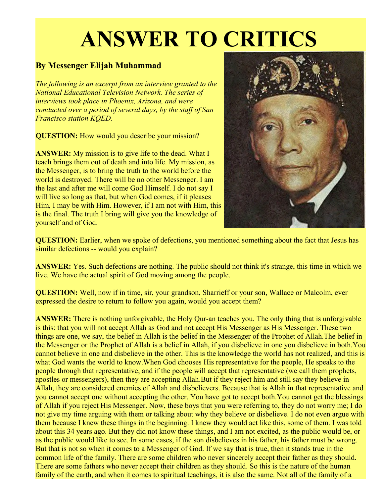## **ANSWER TO CRITICS**

## **By Messenger Elijah Muhammad**

*The following is an excerpt from an interview granted to the National Educational Television Network. The series of interviews took place in Phoenix, Arizona, and were conducted over a period of several days, by the staff of San Francisco station KQED.*

**QUESTION:** How would you describe your mission?

**ANSWER:** My mission is to give life to the dead. What I teach brings them out of death and into life. My mission, as the Messenger, is to bring the truth to the world before the world is destroyed. There will be no other Messenger. I am the last and after me will come God Himself. I do not say I will live so long as that, but when God comes, if it pleases Him, I may be with Him. However, if I am not with Him, this is the final. The truth I bring will give you the knowledge of yourself and of God.



**QUESTION:** Earlier, when we spoke of defections, you mentioned something about the fact that Jesus has similar defections -- would you explain?

**ANSWER:** Yes. Such defections are nothing. The public should not think it's strange, this time in which we live. We have the actual spirit of God moving among the people.

**QUESTION:** Well, now if in time, sir, your grandson, Sharrieff or your son, Wallace or Malcolm, ever expressed the desire to return to follow you again, would you accept them?

**ANSWER:** There is nothing unforgivable, the Holy Qur-an teaches you. The only thing that is unforgivable is this: that you will not accept Allah as God and not accept His Messenger as His Messenger. These two things are one, we say, the belief in Allah is the belief in the Messenger of the Prophet of Allah.The belief in the Messenger or the Prophet of Allah is a belief in Allah, if you disbelieve in one you disbelieve in both.You cannot believe in one and disbelieve in the other. This is the knowledge the world has not realized, and this is what God wants the world to know. When God chooses His representative for the people, He speaks to the people through that representative, and if the people will accept that representative (we call them prophets, apostles or messengers), then they are accepting Allah.But if they reject him and still say they believe in Allah, they are considered enemies of Allah and disbelievers. Because that is Allah in that representative and you cannot accept one without accepting the other. You have got to accept both.You cannot get the blessings of Allah if you reject His Messenger. Now, these boys that you were referring to, they do not worry me; I do not give my time arguing with them or talking about why they believe or disbelieve. I do not even argue with them because I knew these things in the beginning. I knew they would act like this, some of them. I was told about this 34 years ago. But they did not know these things, and I am not excited, as the public would be, or as the public would like to see. In some cases, if the son disbelieves in his father, his father must be wrong. But that is not so when it comes to a Messenger of God. If we say that is true, then it stands true in the common life of the family. There are some children who never sincerely accept their father as they should. There are some fathers who never accept their children as they should. So this is the nature of the human family of the earth, and when it comes to spiritual teachings, it is also the same. Not all of the family of a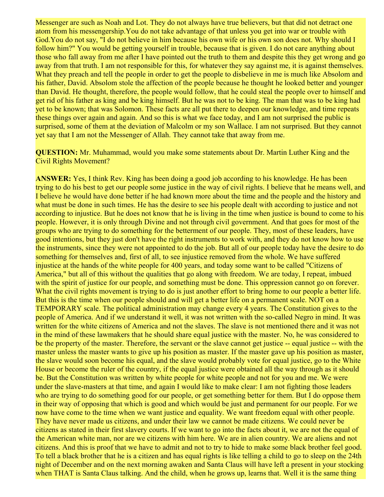Messenger are such as Noah and Lot. They do not always have true believers, but that did not detract one atom from his messengership.You do not take advantage of that unless you get into war or trouble with God.You do not say, "I do not believe in him because his own wife or his own son does not. Why should I follow him?" You would be getting yourself in trouble, because that is given. I do not care anything about those who fall away from me after I have pointed out the truth to them and despite this they get wrong and go away from that truth. I am not responsible for this, for whatever they say against me, it is against themselves. What they preach and tell the people in order to get the people to disbelieve in me is much like Absolom and his father, David. Absolom stole the affection of the people because he thought he looked better and younger than David. He thought, therefore, the people would follow, that he could steal the people over to himself and get rid of his father as king and be king himself. But he was not to be king. The man that was to be king had yet to be known; that was Solomon. These facts are all put there to deepen our knowledge, and time repeats these things over again and again. And so this is what we face today, and I am not surprised the public is surprised, some of them at the deviation of Malcolm or my son Wallace. I am not surprised. But they cannot yet say that I am not the Messenger of Allah. They cannot take that away from me.

**QUESTION:** Mr. Muhammad, would you make some statements about Dr. Martin Luther King and the Civil Rights Movement?

**ANSWER:** Yes, I think Rev. King has been doing a good job according to his knowledge. He has been trying to do his best to get our people some justice in the way of civil rights. I believe that he means well, and I believe he would have done better if he had known more about the time and the people and the history and what must be done in such times. He has the desire to see his people dealt with according to justice and not according to injustice. But he does not know that he is living in the time when justice is bound to come to his people. However, it is only through Divine and not through civil government. And that goes for most of the groups who are trying to do something for the betterment of our people. They, most of these leaders, have good intentions, but they just don't have the right instruments to work with, and they do not know how to use the instruments, since they were not appointed to do the job. But all of our people today have the desire to do something for themselves and, first of all, to see injustice removed from the whole. We have suffered injustice at the hands of the white people for 400 years, and today some want to be called "Citizens of America," but all of this without the qualities that go along with freedom. We are today, I repeat, imbued with the spirit of justice for our people, and something must be done. This oppression cannot go on forever. What the civil rights movement is trying to do is just another effort to bring home to our people a better life. But this is the time when our people should and will get a better life on a permanent scale. NOT on a TEMPORARY scale. The political administration may change every 4 years. The Constitution gives to the people of America. And if we understand it well, it was not written with the so-called Negro in mind. It was written for the white citizens of America and not the slaves. The slave is not mentioned there and it was not in the mind of these lawmakers that he should share equal justice with the master. No, he was considered to be the property of the master. Therefore, the servant or the slave cannot get justice -- equal justice -- with the master unless the master wants to give up his position as master. If the master gave up his position as master, the slave would soon become his equal, and the slave would probably vote for equal justice, go to the White House or become the ruler of the country, if the equal justice were obtained all the way through as it should be. But the Constitution was written by white people for white people and not for you and me. We were under the slave-masters at that time, and again I would like to make clear: I am not fighting those leaders who are trying to do something good for our people, or get something better for them. But I do oppose them in their way of opposing that which is good and which would be just and permanent for our people. For we now have come to the time when we want justice and equality. We want freedom equal with other people. They have never made us citizens, and under their law we cannot be made citizens. We could never be citizens as stated in their first slavery courts. If we want to go into the facts about it, we are not the equal of the American white man, nor are we citizens with him here. We are in alien country. We are aliens and not citizens. And this is proof that we have to admit and not to try to hide to make some black brother feel good. To tell a black brother that he is a citizen and has equal rights is like telling a child to go to sleep on the 24th night of December and on the next morning awaken and Santa Claus will have left a present in your stocking when THAT is Santa Claus talking. And the child, when he grows up, learns that. Well it is the same thing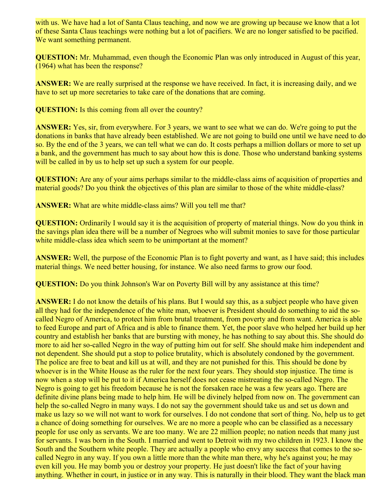with us. We have had a lot of Santa Claus teaching, and now we are growing up because we know that a lot of these Santa Claus teachings were nothing but a lot of pacifiers. We are no longer satisfied to be pacified. We want something permanent.

**QUESTION:** Mr. Muhammad, even though the Economic Plan was only introduced in August of this year, (1964) what has been the response?

**ANSWER:** We are really surprised at the response we have received. In fact, it is increasing daily, and we have to set up more secretaries to take care of the donations that are coming.

**QUESTION:** Is this coming from all over the country?

**ANSWER:** Yes, sir, from everywhere. For 3 years, we want to see what we can do. We're going to put the donations in banks that have already been established. We are not going to build one until we have need to do so. By the end of the 3 years, we can tell what we can do. It costs perhaps a million dollars or more to set up a bank, and the government has much to say about how this is done. Those who understand banking systems will be called in by us to help set up such a system for our people.

**QUESTION:** Are any of your aims perhaps similar to the middle-class aims of acquisition of properties and material goods? Do you think the objectives of this plan are similar to those of the white middle-class?

**ANSWER:** What are white middle-class aims? Will you tell me that?

**QUESTION:** Ordinarily I would say it is the acquisition of property of material things. Now do you think in the savings plan idea there will be a number of Negroes who will submit monies to save for those particular white middle-class idea which seem to be unimportant at the moment?

**ANSWER:** Well, the purpose of the Economic Plan is to fight poverty and want, as I have said; this includes material things. We need better housing, for instance. We also need farms to grow our food.

**QUESTION:** Do you think Johnson's War on Poverty Bill will by any assistance at this time?

**ANSWER:** I do not know the details of his plans. But I would say this, as a subject people who have given all they had for the independence of the white man, whoever is President should do something to aid the socalled Negro of America, to protect him from brutal treatment, from poverty and from want. America is able to feed Europe and part of Africa and is able to finance them. Yet, the poor slave who helped her build up her country and establish her banks that are bursting with money, he has nothing to say about this. She should do more to aid her so-called Negro in the way of putting him out for self. She should make him independent and not dependent. She should put a stop to police brutality, which is absolutely condoned by the government. The police are free to beat and kill us at will, and they are not punished for this. This should be done by whoever is in the White House as the ruler for the next four years. They should stop injustice. The time is now when a stop will be put to it if America herself does not cease mistreating the so-called Negro. The Negro is going to get his freedom because he is not the forsaken race he was a few years ago. There are definite divine plans being made to help him. He will be divinely helped from now on. The government can help the so-called Negro in many ways. I do not say the government should take us and set us down and make us lazy so we will not want to work for ourselves. I do not condone that sort of thing. No, help us to get a chance of doing something for ourselves. We are no more a people who can be classified as a necessary people for use only as servants. We are too many. We are 22 million people; no nation needs that many just for servants. I was born in the South. I married and went to Detroit with my two children in 1923. I know the South and the Southern white people. They are actually a people who envy any success that comes to the socalled Negro in any way. If you own a little more than the white man there, why he's against you; he may even kill you. He may bomb you or destroy your property. He just doesn't like the fact of your having anything. Whether in court, in justice or in any way. This is naturally in their blood. They want the black man